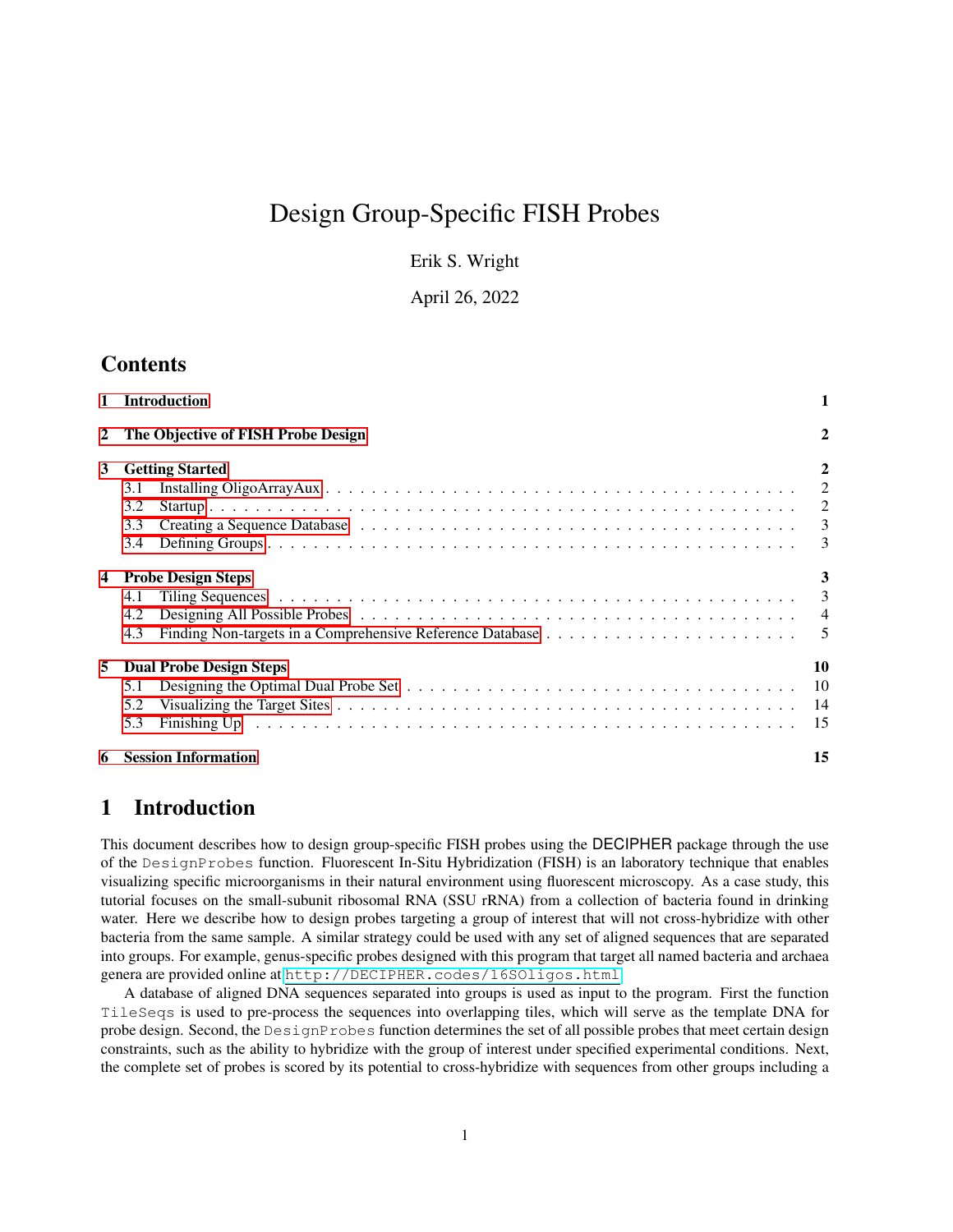# Design Group-Specific FISH Probes

Erik S. Wright

April 26, 2022

### **Contents**

|   | 1 Introduction                     |              |
|---|------------------------------------|--------------|
| 2 | The Objective of FISH Probe Design | $\mathbf{2}$ |
| 3 | <b>Getting Started</b>             | $\mathbf{2}$ |
|   | 3.1                                | 2            |
|   | 3.2                                |              |
|   | 3.3                                | 3            |
|   | 3.4                                | 3            |
| 4 | <b>Probe Design Steps</b>          | 3            |
|   | 4.1                                | 3            |
|   | 4.2                                |              |
|   | 4.3                                |              |
| 5 | <b>Dual Probe Design Steps</b>     | 10           |
|   | 5.1                                | -10          |
|   | 5.2                                | - 14         |
|   | 5.3                                | 15           |
| 6 | <b>Session Information</b>         | 15           |

## <span id="page-0-0"></span>1 Introduction

This document describes how to design group-specific FISH probes using the DECIPHER package through the use of the DesignProbes function. Fluorescent In-Situ Hybridization (FISH) is an laboratory technique that enables visualizing specific microorganisms in their natural environment using fluorescent microscopy. As a case study, this tutorial focuses on the small-subunit ribosomal RNA (SSU rRNA) from a collection of bacteria found in drinking water. Here we describe how to design probes targeting a group of interest that will not cross-hybridize with other bacteria from the same sample. A similar strategy could be used with any set of aligned sequences that are separated into groups. For example, genus-specific probes designed with this program that target all named bacteria and archaea genera are provided online at <http://DECIPHER.codes/16SOligos.html>.

A database of aligned DNA sequences separated into groups is used as input to the program. First the function TileSeqs is used to pre-process the sequences into overlapping tiles, which will serve as the template DNA for probe design. Second, the DesignProbes function determines the set of all possible probes that meet certain design constraints, such as the ability to hybridize with the group of interest under specified experimental conditions. Next, the complete set of probes is scored by its potential to cross-hybridize with sequences from other groups including a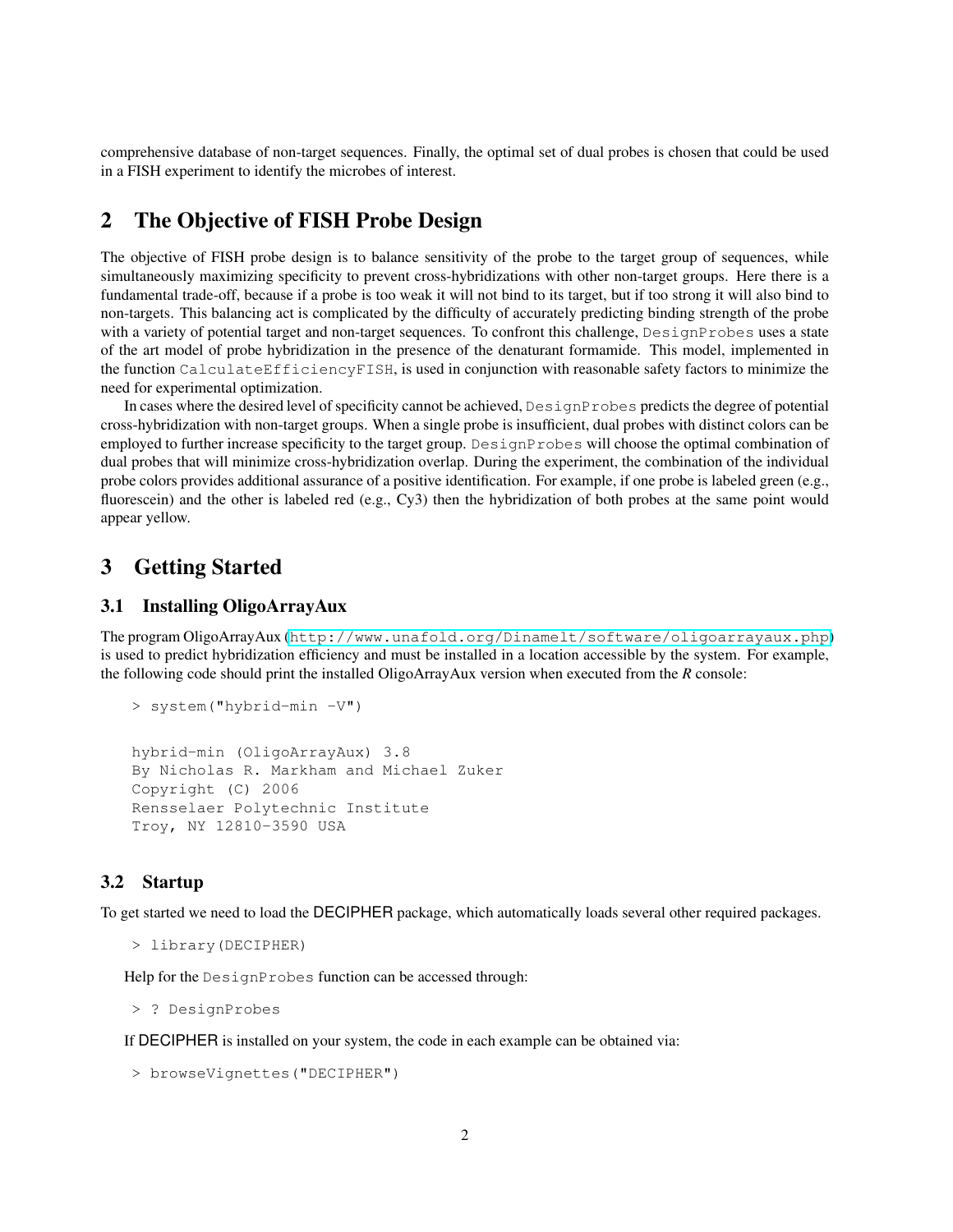comprehensive database of non-target sequences. Finally, the optimal set of dual probes is chosen that could be used in a FISH experiment to identify the microbes of interest.

### <span id="page-1-0"></span>2 The Objective of FISH Probe Design

The objective of FISH probe design is to balance sensitivity of the probe to the target group of sequences, while simultaneously maximizing specificity to prevent cross-hybridizations with other non-target groups. Here there is a fundamental trade-off, because if a probe is too weak it will not bind to its target, but if too strong it will also bind to non-targets. This balancing act is complicated by the difficulty of accurately predicting binding strength of the probe with a variety of potential target and non-target sequences. To confront this challenge, DesignProbes uses a state of the art model of probe hybridization in the presence of the denaturant formamide. This model, implemented in the function CalculateEfficiencyFISH, is used in conjunction with reasonable safety factors to minimize the need for experimental optimization.

In cases where the desired level of specificity cannot be achieved, DesignProbes predicts the degree of potential cross-hybridization with non-target groups. When a single probe is insufficient, dual probes with distinct colors can be employed to further increase specificity to the target group. DesignProbes will choose the optimal combination of dual probes that will minimize cross-hybridization overlap. During the experiment, the combination of the individual probe colors provides additional assurance of a positive identification. For example, if one probe is labeled green (e.g., fluorescein) and the other is labeled red (e.g., Cy3) then the hybridization of both probes at the same point would appear yellow.

### <span id="page-1-1"></span>3 Getting Started

### <span id="page-1-2"></span>3.1 Installing OligoArrayAux

The program OligoArrayAux (<http://www.unafold.org/Dinamelt/software/oligoarrayaux.php>) is used to predict hybridization efficiency and must be installed in a location accessible by the system. For example, the following code should print the installed OligoArrayAux version when executed from the *R* console:

```
> system("hybrid-min -V")
```

```
hybrid-min (OligoArrayAux) 3.8
By Nicholas R. Markham and Michael Zuker
Copyright (C) 2006
Rensselaer Polytechnic Institute
Troy, NY 12810-3590 USA
```
### <span id="page-1-3"></span>3.2 Startup

To get started we need to load the DECIPHER package, which automatically loads several other required packages.

```
> library(DECIPHER)
```
Help for the DesignProbes function can be accessed through:

> ? DesignProbes

If DECIPHER is installed on your system, the code in each example can be obtained via:

```
> browseVignettes("DECIPHER")
```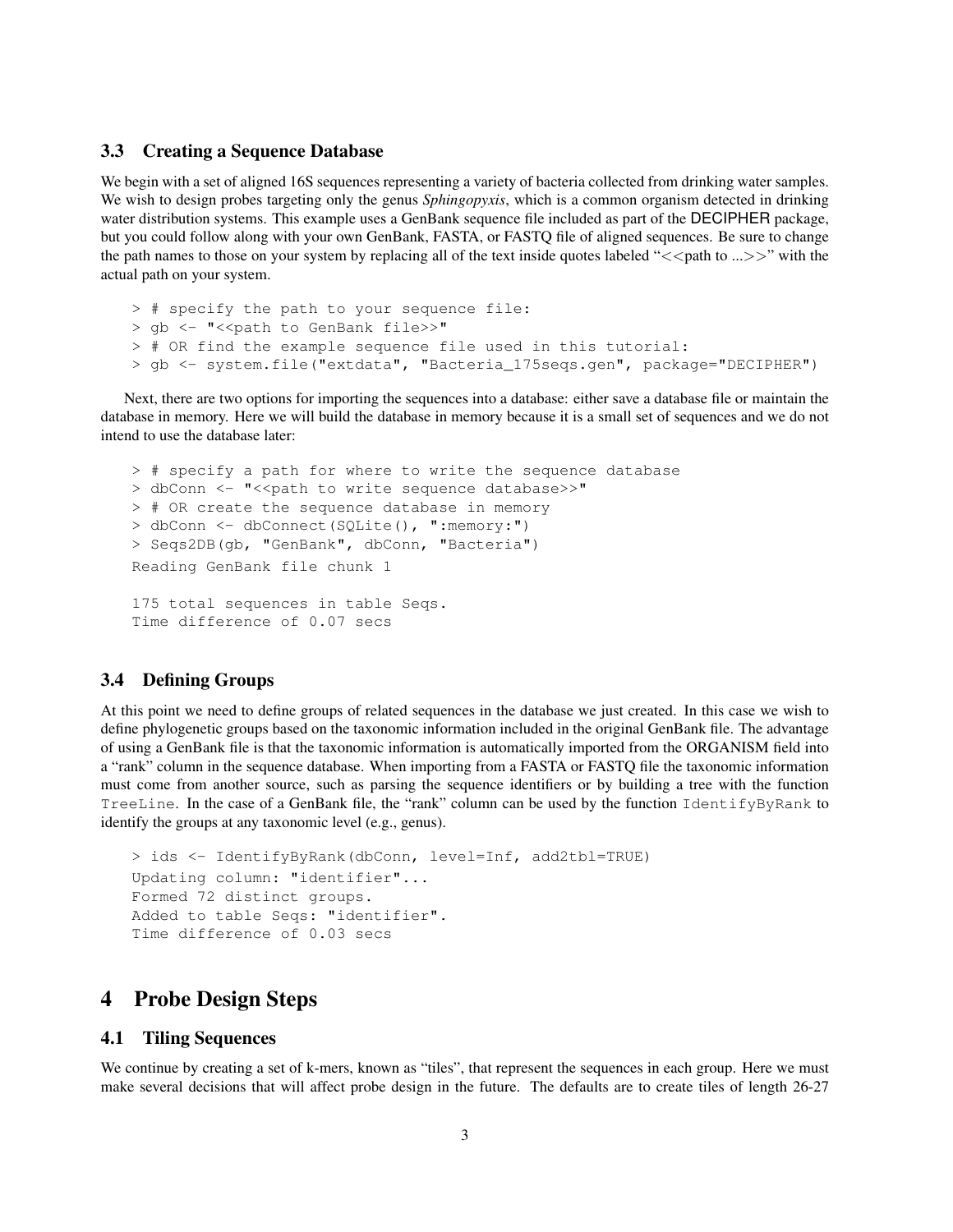### <span id="page-2-0"></span>3.3 Creating a Sequence Database

We begin with a set of aligned 16S sequences representing a variety of bacteria collected from drinking water samples. We wish to design probes targeting only the genus *Sphingopyxis*, which is a common organism detected in drinking water distribution systems. This example uses a GenBank sequence file included as part of the DECIPHER package, but you could follow along with your own GenBank, FASTA, or FASTQ file of aligned sequences. Be sure to change the path names to those on your system by replacing all of the text inside quotes labeled " $\lt$  path to ... $\gt$ " with the actual path on your system.

```
> # specify the path to your sequence file:
> gb <- "<<path to GenBank file>>"
> # OR find the example sequence file used in this tutorial:
> gb <- system.file("extdata", "Bacteria_175seqs.gen", package="DECIPHER")
```
Next, there are two options for importing the sequences into a database: either save a database file or maintain the database in memory. Here we will build the database in memory because it is a small set of sequences and we do not intend to use the database later:

```
> # specify a path for where to write the sequence database
> dbConn <- "<<path to write sequence database>>"
> # OR create the sequence database in memory
> dbConn <- dbConnect(SQLite(), ":memory:")
> Seqs2DB(gb, "GenBank", dbConn, "Bacteria")
Reading GenBank file chunk 1
175 total sequences in table Seqs.
Time difference of 0.07 secs
```
### <span id="page-2-1"></span>3.4 Defining Groups

At this point we need to define groups of related sequences in the database we just created. In this case we wish to define phylogenetic groups based on the taxonomic information included in the original GenBank file. The advantage of using a GenBank file is that the taxonomic information is automatically imported from the ORGANISM field into a "rank" column in the sequence database. When importing from a FASTA or FASTQ file the taxonomic information must come from another source, such as parsing the sequence identifiers or by building a tree with the function TreeLine. In the case of a GenBank file, the "rank" column can be used by the function IdentifyByRank to identify the groups at any taxonomic level (e.g., genus).

```
> ids <- IdentifyByRank(dbConn, level=Inf, add2tbl=TRUE)
Updating column: "identifier"...
Formed 72 distinct groups.
Added to table Seqs: "identifier".
Time difference of 0.03 secs
```
### <span id="page-2-2"></span>4 Probe Design Steps

#### <span id="page-2-3"></span>4.1 Tiling Sequences

We continue by creating a set of k-mers, known as "tiles", that represent the sequences in each group. Here we must make several decisions that will affect probe design in the future. The defaults are to create tiles of length 26-27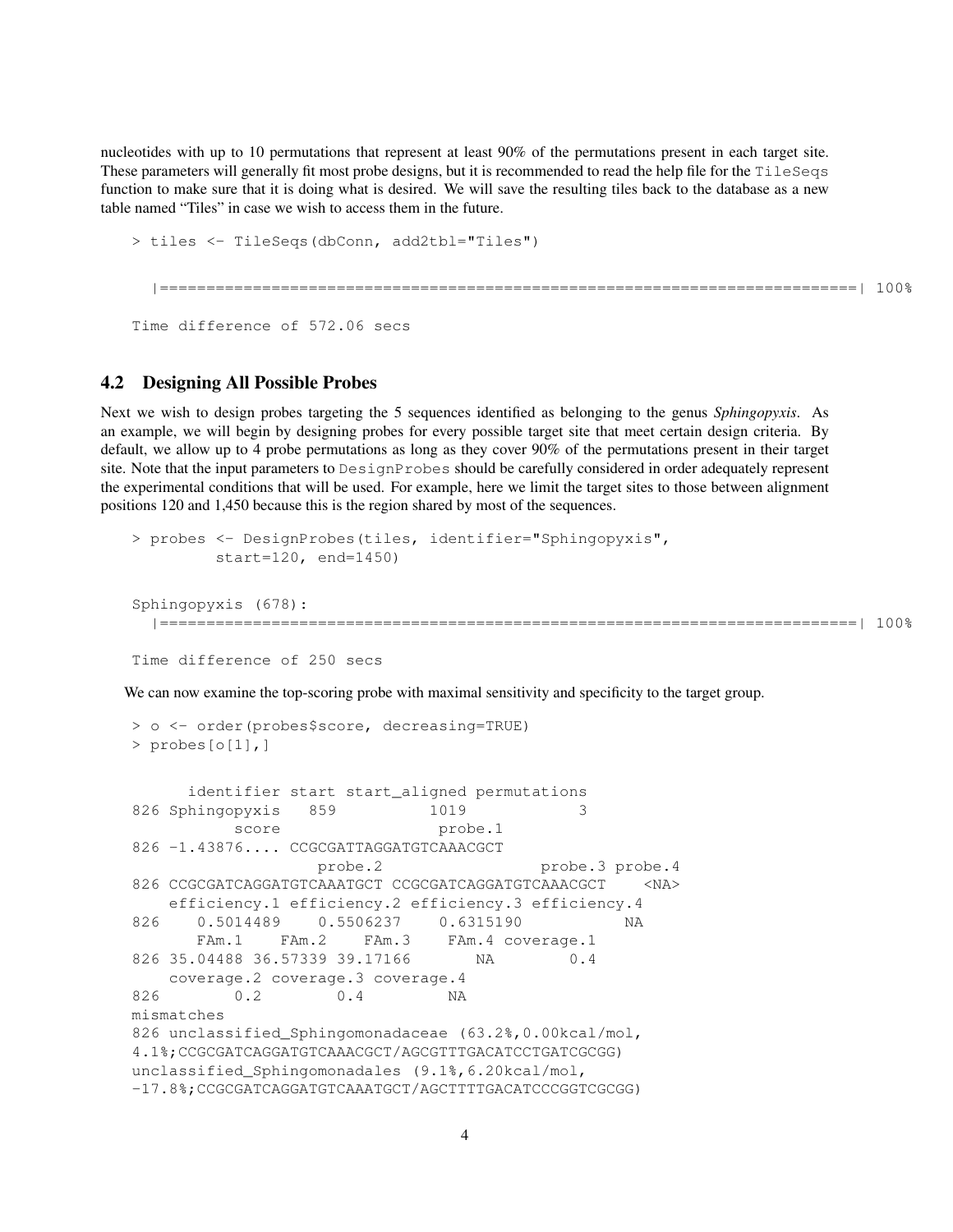nucleotides with up to 10 permutations that represent at least 90% of the permutations present in each target site. These parameters will generally fit most probe designs, but it is recommended to read the help file for the TileSeqs function to make sure that it is doing what is desired. We will save the resulting tiles back to the database as a new table named "Tiles" in case we wish to access them in the future.

```
> tiles <- TileSeqs(dbConn, add2tbl="Tiles")
  |===========================================================================| 100%
Time difference of 572.06 secs
```
#### <span id="page-3-0"></span>4.2 Designing All Possible Probes

Next we wish to design probes targeting the 5 sequences identified as belonging to the genus *Sphingopyxis*. As an example, we will begin by designing probes for every possible target site that meet certain design criteria. By default, we allow up to 4 probe permutations as long as they cover 90% of the permutations present in their target site. Note that the input parameters to DesignProbes should be carefully considered in order adequately represent the experimental conditions that will be used. For example, here we limit the target sites to those between alignment positions 120 and 1,450 because this is the region shared by most of the sequences.

```
> probes <- DesignProbes(tiles, identifier="Sphingopyxis",
         start=120, end=1450)
Sphingopyxis (678):
  |===========================================================================| 100%
```
Time difference of 250 secs

We can now examine the top-scoring probe with maximal sensitivity and specificity to the target group.

```
> o <- order(probes$score, decreasing=TRUE)
> probes[o[1],]
     identifier start start_aligned permutations
826 Sphingopyxis 859 1019 3
         score probe.1
826 -1.43876.... CCGCGATTAGGATGTCAAACGCT
                probe.2 probe.3 probe.4
826 CCGCGATCAGGATGTCAAATGCT CCGCGATCAGGATGTCAAACGCT <NA>
   efficiency.1 efficiency.2 efficiency.3 efficiency.4
826 0.5014489 0.5506237 0.6315190 NA
      FAm.1 FAm.2 FAm.3 FAm.4 coverage.1
826 35.04488 36.57339 39.17166 NA 0.4
   coverage.2 coverage.3 coverage.4
826 0.2 0.4 NA
mismatches
826 unclassified_Sphingomonadaceae (63.2%,0.00kcal/mol,
4.1%;CCGCGATCAGGATGTCAAACGCT/AGCGTTTGACATCCTGATCGCGG)
unclassified_Sphingomonadales (9.1%,6.20kcal/mol,
-17.8%;CCGCGATCAGGATGTCAAATGCT/AGCTTTTGACATCCCGGTCGCGG)
```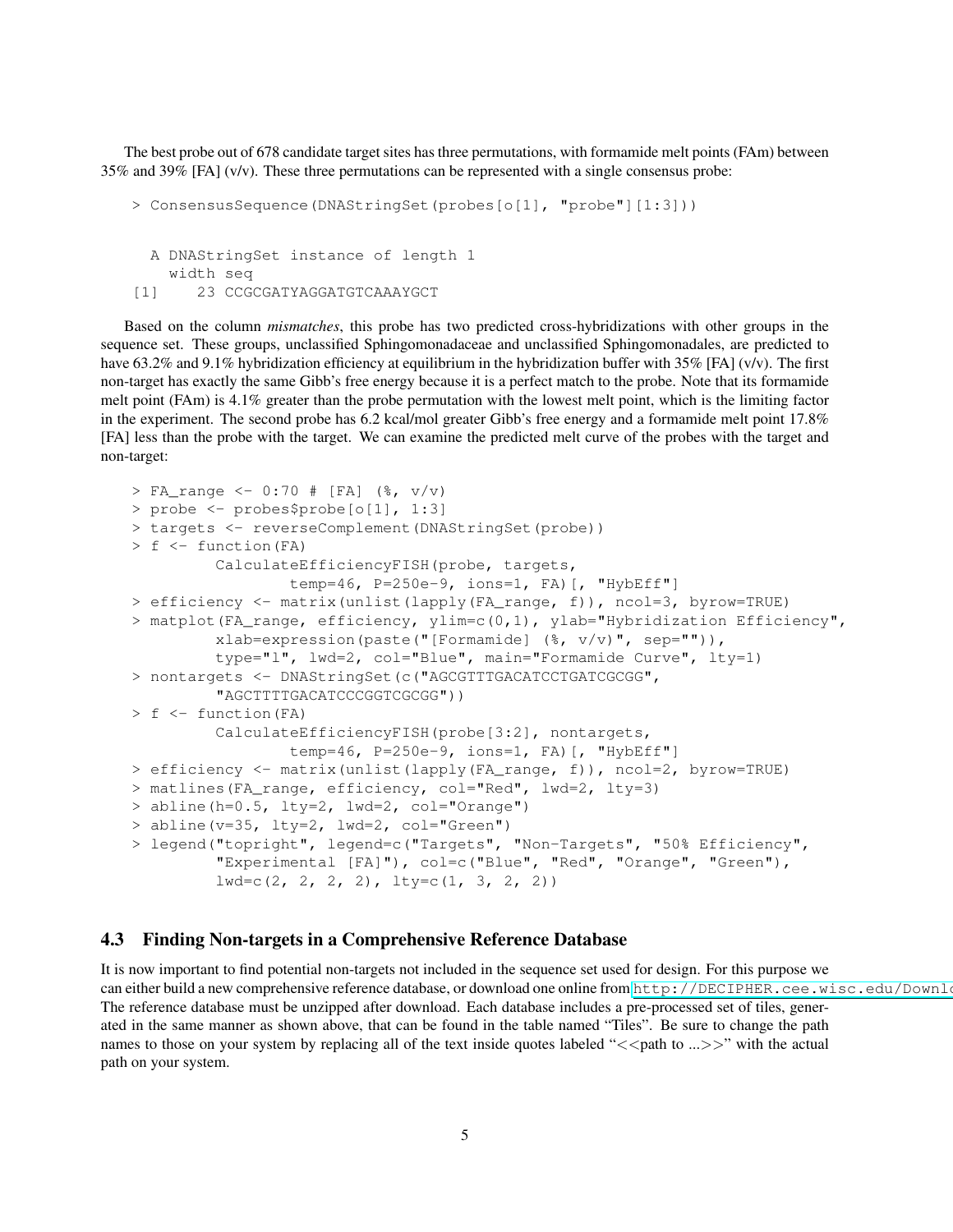The best probe out of 678 candidate target sites has three permutations, with formamide melt points (FAm) between 35% and 39% [FA] (v/v). These three permutations can be represented with a single consensus probe:

```
> ConsensusSequence(DNAStringSet(probes[o[1], "probe"][1:3]))
```

```
A DNAStringSet instance of length 1
   width seq
[1] 23 CCGCGATYAGGATGTCAAAYGCT
```
Based on the column *mismatches*, this probe has two predicted cross-hybridizations with other groups in the sequence set. These groups, unclassified Sphingomonadaceae and unclassified Sphingomonadales, are predicted to have 63.2% and 9.1% hybridization efficiency at equilibrium in the hybridization buffer with 35% [FA] (v/v). The first non-target has exactly the same Gibb's free energy because it is a perfect match to the probe. Note that its formamide melt point (FAm) is 4.1% greater than the probe permutation with the lowest melt point, which is the limiting factor in the experiment. The second probe has 6.2 kcal/mol greater Gibb's free energy and a formamide melt point 17.8% [FA] less than the probe with the target. We can examine the predicted melt curve of the probes with the target and non-target:

```
> FA_range <- 0:70 # [FA] (%, v/v)
> probe <- probes$probe[o[1], 1:3]
> targets <- reverseComplement(DNAStringSet(probe))
> f <- function(FA)
         CalculateEfficiencyFISH(probe, targets,
                 temp=46, P=250e-9, ions=1, FA)[, "HybEff"]
> efficiency <- matrix(unlist(lapply(FA_range, f)), ncol=3, byrow=TRUE)
> matplot(FA_range, efficiency, ylim=c(0,1), ylab="Hybridization Efficiency",
         xlab=expression(paste("[Formamide] (\frac{1}{2}, v/v)", sep="")),
         type="l", lwd=2, col="Blue", main="Formamide Curve", lty=1)
> nontargets <- DNAStringSet(c("AGCGTTTGACATCCTGATCGCGG",
         "AGCTTTTGACATCCCGGTCGCGG"))
> f <- function(FA)
         CalculateEfficiencyFISH(probe[3:2], nontargets,
                 temp=46, P=250e-9, ions=1, FA)[, "HybEff"]
> efficiency <- matrix(unlist(lapply(FA_range, f)), ncol=2, byrow=TRUE)
> matlines(FA_range, efficiency, col="Red", lwd=2, lty=3)
> abline(h=0.5, lty=2, lwd=2, col="Orange")
> abline(v=35, lty=2, lwd=2, col="Green")
> legend("topright", legend=c("Targets", "Non-Targets", "50% Efficiency",
         "Experimental [FA]"), col=c("Blue", "Red", "Orange", "Green"),
         lwd=c(2, 2, 2, 2), lty=c(1, 3, 2, 2))
```
### <span id="page-4-0"></span>4.3 Finding Non-targets in a Comprehensive Reference Database

It is now important to find potential non-targets not included in the sequence set used for design. For this purpose we can either build a new comprehensive reference database, or download one online from <http://DECIPHER.cee.wisc.edu/Download.html> The reference database must be unzipped after download. Each database includes a pre-processed set of tiles, generated in the same manner as shown above, that can be found in the table named "Tiles". Be sure to change the path names to those on your system by replacing all of the text inside quotes labeled "<<pr/>path to ...>>" with the actual path on your system.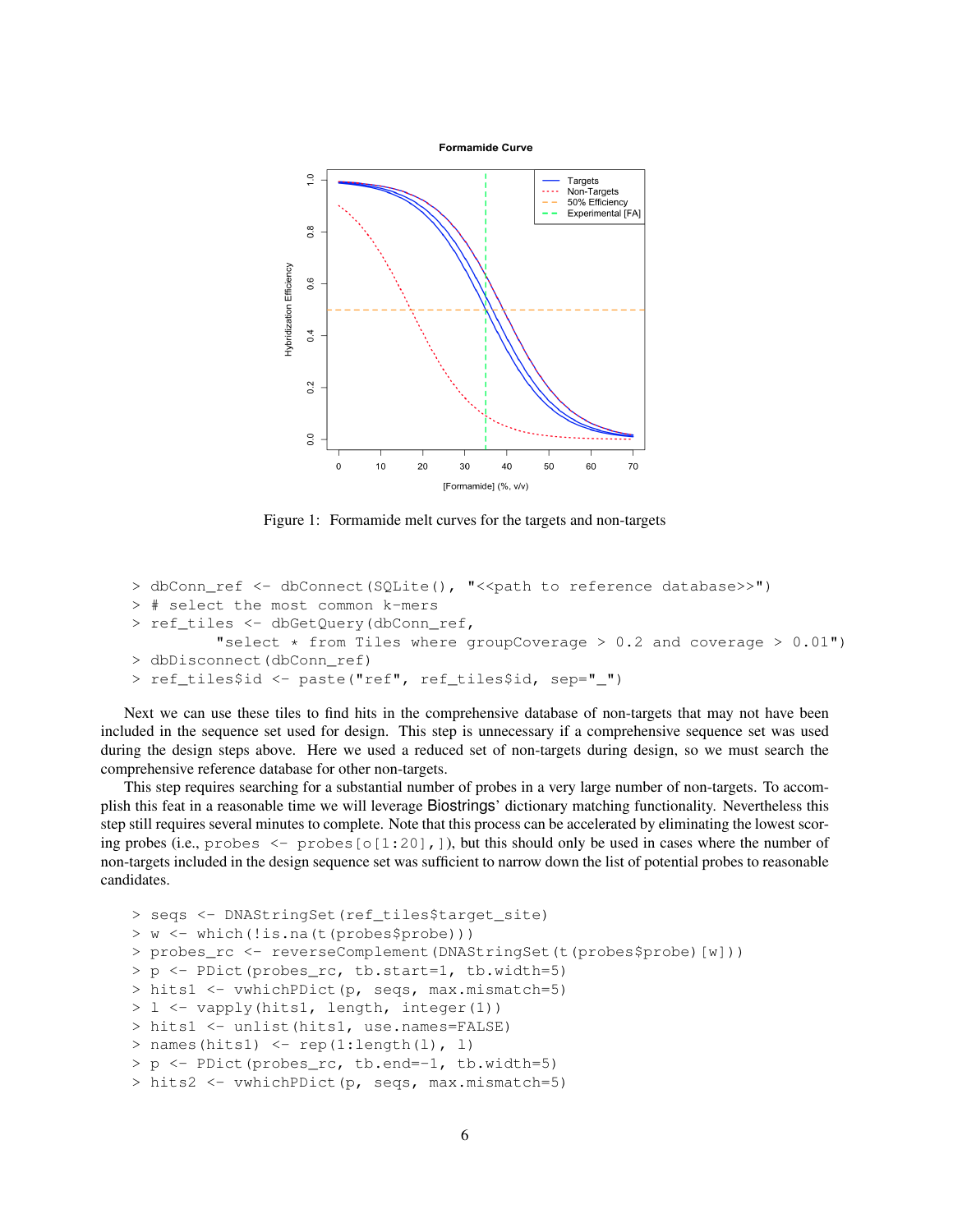

Figure 1: Formamide melt curves for the targets and non-targets

```
> dbConn ref <- dbConnect(SOLite(), "<< path to reference database>>")
> # select the most common k-mers
> ref_tiles <- dbGetQuery(dbConn_ref,
         "select \star from Tiles where groupCoverage > 0.2 and coverage > 0.01")
> dbDisconnect(dbConn_ref)
> ref_tiles$id <- paste("ref", ref_tiles$id, sep="_")
```
Next we can use these tiles to find hits in the comprehensive database of non-targets that may not have been included in the sequence set used for design. This step is unnecessary if a comprehensive sequence set was used during the design steps above. Here we used a reduced set of non-targets during design, so we must search the comprehensive reference database for other non-targets.

This step requires searching for a substantial number of probes in a very large number of non-targets. To accomplish this feat in a reasonable time we will leverage Biostrings' dictionary matching functionality. Nevertheless this step still requires several minutes to complete. Note that this process can be accelerated by eliminating the lowest scoring probes (i.e., probes  $\le -$  probes [o[1:20],]), but this should only be used in cases where the number of non-targets included in the design sequence set was sufficient to narrow down the list of potential probes to reasonable candidates.

```
> seqs <- DNAStringSet(ref_tiles$target_site)
> w <- which(!is.na(t(probes$probe)))
> probes rc <- reverseComplement(DNAStringSet(t(probes$probe)[w]))
> p <- PDict(probes_rc, tb.start=1, tb.width=5)
> hits1 <- vwhichPDict(p, seqs, max.mismatch=5)
> l <- vapply(hits1, length, integer(1))
> hits1 <- unlist(hits1, use.names=FALSE)
> names(hits1) <- rep(1:length(l), l)
> p <- PDict(probes_rc, tb.end=-1, tb.width=5)
> hits2 <- vwhichPDict(p, seqs, max.mismatch=5)
```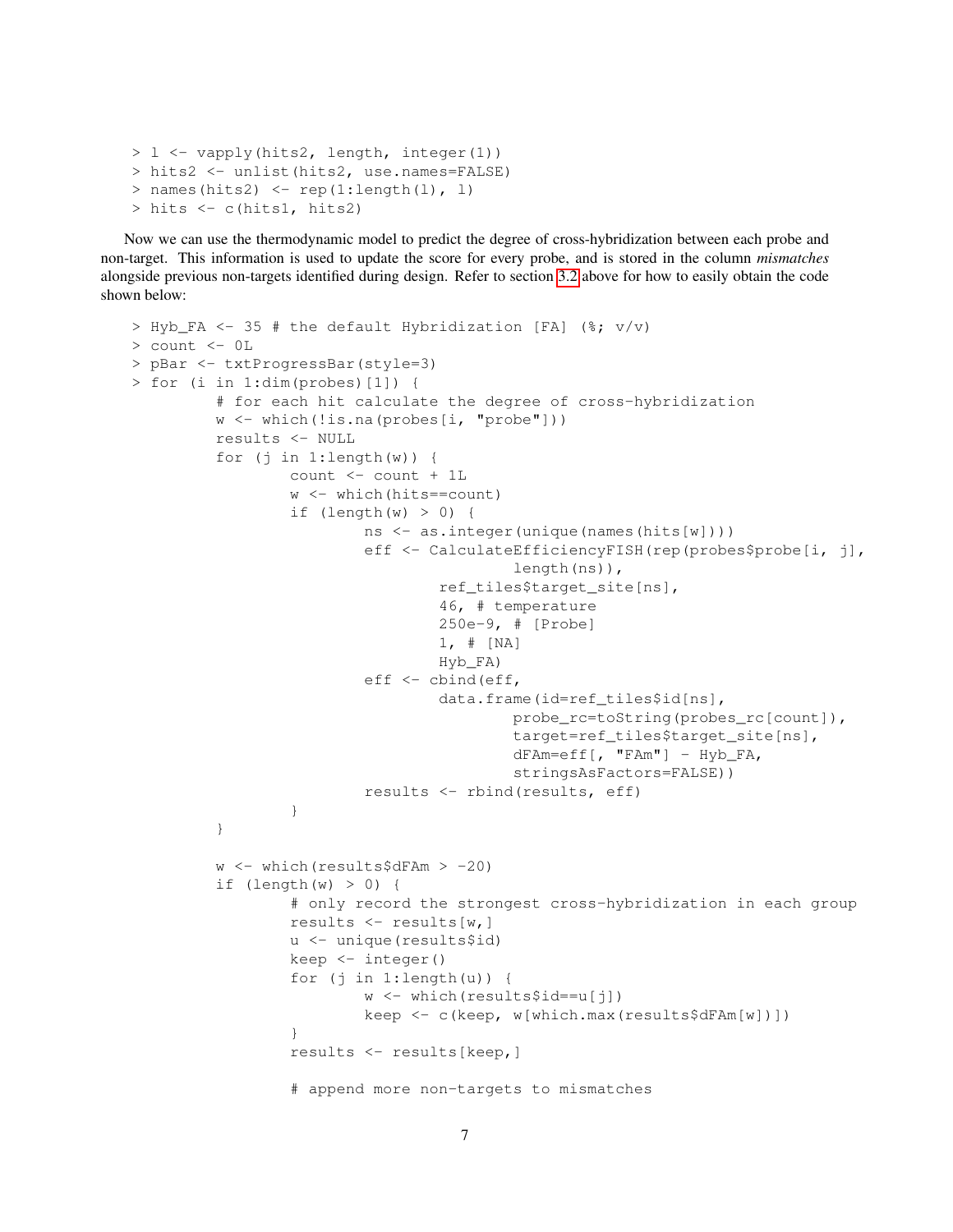```
> l <- vapply(hits2, length, integer(1))
> hits2 <- unlist(hits2, use.names=FALSE)
> names(hits2) <- rep(1:length(l), l)
> hits <- c(hits1, hits2)
```
Now we can use the thermodynamic model to predict the degree of cross-hybridization between each probe and non-target. This information is used to update the score for every probe, and is stored in the column *mismatches* alongside previous non-targets identified during design. Refer to section [3.2](#page-1-3) above for how to easily obtain the code shown below:

```
> Hyb_FA <- 35 # the default Hybridization [FA] (%; v/v)
> count <- 0L
> pBar <- txtProgressBar(style=3)
> for (i in 1:dim(probes)[1]) {
         # for each hit calculate the degree of cross-hybridization
         w <- which(!is.na(probes[i, "probe"]))
         results <- NULL
         for (j in 1:length(w)) {
                 count <- count + 1L
                 w <- which(hits==count)
                 if (length(w) > 0) {
                          ns <- as.integer(unique(names(hits[w])))
                          eff <- CalculateEfficiencyFISH(rep(probes$probe[i, j],
                                          length(ns)),
                                  ref_tiles$target_site[ns],
                                  46, # temperature
                                  250e-9, # [Probe]
                                  1, # [NA]
                                  Hyb_FA)
                          eff <- cbind(eff,
                                  data.frame(id=ref_tiles$id[ns],
                                          probe_rc=toString(probes_rc[count]),
                                          target=ref_tiles$target_site[ns],
                                          dFAm=eff[, "FAm"] - Hyb_FA,
                                          stringsAsFactors=FALSE))
                          results <- rbind(results, eff)
                 }
         }
         w \le - which (results$dFAm > -20)
         if (\text{length}(w) > 0) {
                 # only record the strongest cross-hybridization in each group
                 results <- results[w,]
                 u <- unique(results$id)
                 keep <- integer()
                 for (j in 1:length(u)) {
                          w <- which(results$id==u[j])
                          keep <- c(keep, w[which.max(results$dFAm[w])])
                  }
                 results <- results[keep,]
                 # append more non-targets to mismatches
```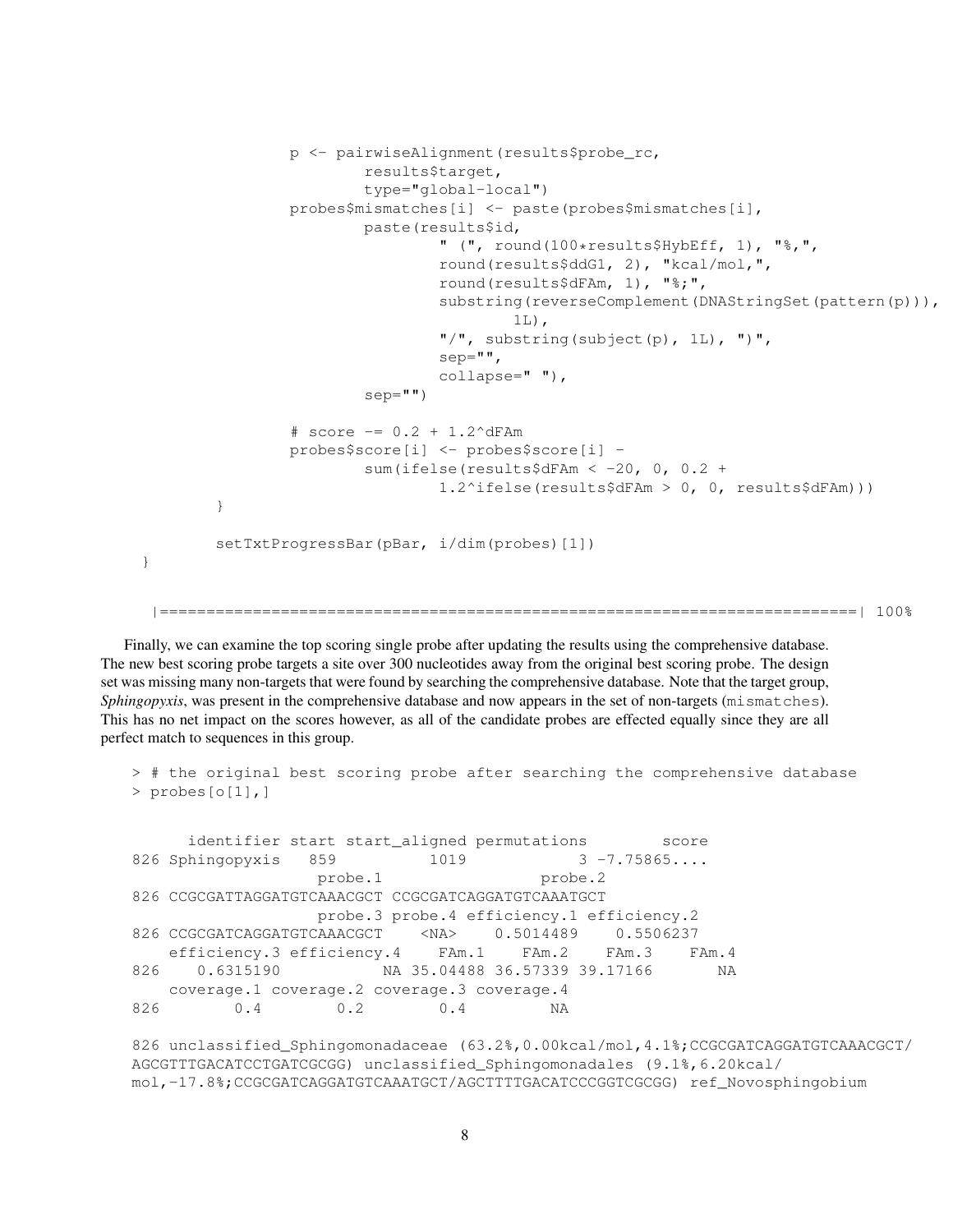```
p <- pairwiseAlignment(results$probe_rc,
                         results$target,
                         type="global-local")
                probes$mismatches[i] <- paste(probes$mismatches[i],
                        paste(results$id,
                                 " (", round(100*results$HybEff, 1), "%,",
                                 round(results$ddG1, 2), "kcal/mol,",
                                 round(results$dFAm, 1), "%;",
                                 substring(reverseComplement(DNAStringSet(pattern(p))),
                                         1L).
                                 "/", substring(subject(p), 1L), ")",
                                 sep="",
                                 collapse=" "),
                         sep="")# score = 0.2 + 1.2^{\circ}dFAmprobes$score[i] <- probes$score[i] -
                        sum(ifelse(results$dFAm < -20, 0, 0.2 +
                                 1.2^ifelse(results$dFAm > 0, 0, results$dFAm)))
        }
        setTxtProgressBar(pBar, i/dim(probes)[1])
}
```

```
|===========================================================================| 100%
```
Finally, we can examine the top scoring single probe after updating the results using the comprehensive database. The new best scoring probe targets a site over 300 nucleotides away from the original best scoring probe. The design set was missing many non-targets that were found by searching the comprehensive database. Note that the target group, *Sphingopyxis*, was present in the comprehensive database and now appears in the set of non-targets (mismatches). This has no net impact on the scores however, as all of the candidate probes are effected equally since they are all perfect match to sequences in this group.

```
> # the original best scoring probe after searching the comprehensive database
> probes[o[1],]
```
identifier start start\_aligned permutations score 826 Sphingopyxis 859 1019 3 -7.75865.... probe.1 probe.2 826 CCGCGATTAGGATGTCAAACGCT CCGCGATCAGGATGTCAAATGCT probe.3 probe.4 efficiency.1 efficiency.2 826 CCGCGATCAGGATGTCAAACGCT <NA> 0.5014489 0.5506237 efficiency.3 efficiency.4 FAm.1 FAm.2 FAm.3 FAm.4 826 0.6315190 NA 35.04488 36.57339 39.17166 NA coverage.1 coverage.2 coverage.3 coverage.4 826 0.4 0.2 0.4 NA

826 unclassified\_Sphingomonadaceae (63.2%,0.00kcal/mol,4.1%;CCGCGATCAGGATGTCAAACGCT/ AGCGTTTGACATCCTGATCGCGG) unclassified\_Sphingomonadales (9.1%,6.20kcal/ mol,-17.8%;CCGCGATCAGGATGTCAAATGCT/AGCTTTTGACATCCCGGTCGCGG) ref\_Novosphingobium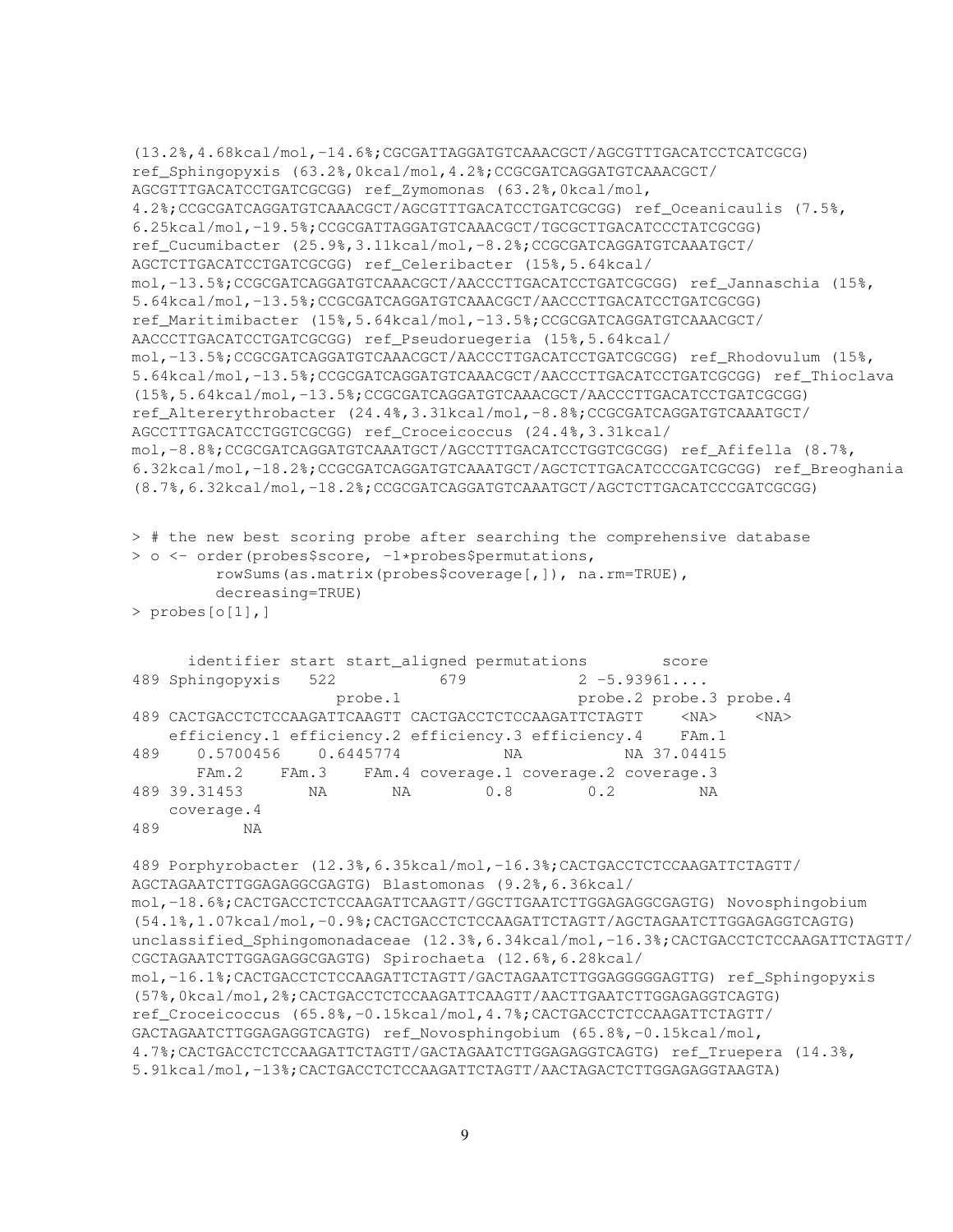```
(13.2%,4.68kcal/mol,-14.6%;CGCGATTAGGATGTCAAACGCT/AGCGTTTGACATCCTCATCGCG)
ref_Sphingopyxis (63.2%,0kcal/mol,4.2%;CCGCGATCAGGATGTCAAACGCT/
AGCGTTTGACATCCTGATCGCGG) ref_Zymomonas (63.2%,0kcal/mol,
4.2%;CCGCGATCAGGATGTCAAACGCT/AGCGTTTGACATCCTGATCGCGG) ref_Oceanicaulis (7.5%,
6.25kcal/mol,-19.5%;CCGCGATTAGGATGTCAAACGCT/TGCGCTTGACATCCCTATCGCGG)
ref_Cucumibacter (25.9%,3.11kcal/mol,-8.2%;CCGCGATCAGGATGTCAAATGCT/
AGCTCTTGACATCCTGATCGCGG) ref_Celeribacter (15%,5.64kcal/
mol,-13.5%;CCGCGATCAGGATGTCAAACGCT/AACCCTTGACATCCTGATCGCGG) ref_Jannaschia (15%,
5.64kcal/mol,-13.5%;CCGCGATCAGGATGTCAAACGCT/AACCCTTGACATCCTGATCGCGG)
ref_Maritimibacter (15%,5.64kcal/mol,-13.5%;CCGCGATCAGGATGTCAAACGCT/
AACCCTTGACATCCTGATCGCGG) ref_Pseudoruegeria (15%,5.64kcal/
mol,-13.5%;CCGCGATCAGGATGTCAAACGCT/AACCCTTGACATCCTGATCGCGG) ref_Rhodovulum (15%,
5.64kcal/mol,-13.5%;CCGCGATCAGGATGTCAAACGCT/AACCCTTGACATCCTGATCGCGG) ref_Thioclava
(15%,5.64kcal/mol,-13.5%;CCGCGATCAGGATGTCAAACGCT/AACCCTTGACATCCTGATCGCGG)
ref_Altererythrobacter (24.4%,3.31kcal/mol,-8.8%;CCGCGATCAGGATGTCAAATGCT/
AGCCTTTGACATCCTGGTCGCGG) ref_Croceicoccus (24.4%,3.31kcal/
mol,-8.8%;CCGCGATCAGGATGTCAAATGCT/AGCCTTTGACATCCTGGTCGCGG) ref_Afifella (8.7%,
6.32kcal/mol,-18.2%;CCGCGATCAGGATGTCAAATGCT/AGCTCTTGACATCCCGATCGCGG) ref_Breoghania
(8.7%,6.32kcal/mol,-18.2%;CCGCGATCAGGATGTCAAATGCT/AGCTCTTGACATCCCGATCGCGG)
> # the new best scoring probe after searching the comprehensive database
> o <- order(probes$score, -1*probes$permutations,
        rowSums(as.matrix(probes$coverage[,]), na.rm=TRUE),
        decreasing=TRUE)
> probes[o[1],]
     identifier start start_aligned permutations score
489 Sphingopyxis 522 679 2 -5.93961....
                     probe.1 probe.2 probe.3 probe.4
489 CACTGACCTCTCCAAGATTCAAGTT CACTGACCTCTCCAAGATTCTAGTT <NA> <NA>
   efficiency.1 efficiency.2 efficiency.3 efficiency.4 FAm.1
489 0.5700456 0.6445774 NA NA 37.04415
      FAm.2 FAm.3 FAm.4 coverage.1 coverage.2 coverage.3
489 39.31453 NA NA 0.8 0.2 NA
   coverage.4
489 NA
489 Porphyrobacter (12.3%,6.35kcal/mol,-16.3%;CACTGACCTCTCCAAGATTCTAGTT/
AGCTAGAATCTTGGAGAGGCGAGTG) Blastomonas (9.2%,6.36kcal/
mol,-18.6%;CACTGACCTCTCCAAGATTCAAGTT/GGCTTGAATCTTGGAGAGGCGAGTG) Novosphingobium
(54.1%,1.07kcal/mol,-0.9%;CACTGACCTCTCCAAGATTCTAGTT/AGCTAGAATCTTGGAGAGGTCAGTG)
unclassified_Sphingomonadaceae (12.3%,6.34kcal/mol,-16.3%;CACTGACCTCTCCAAGATTCTAGTT/
CGCTAGAATCTTGGAGAGGCGAGTG) Spirochaeta (12.6%,6.28kcal/
mol,-16.1%;CACTGACCTCTCCAAGATTCTAGTT/GACTAGAATCTTGGAGGGGGAGTTG) ref_Sphingopyxis
(57%,0kcal/mol,2%;CACTGACCTCTCCAAGATTCAAGTT/AACTTGAATCTTGGAGAGGTCAGTG)
ref_Croceicoccus (65.8%,-0.15kcal/mol,4.7%;CACTGACCTCTCCAAGATTCTAGTT/
GACTAGAATCTTGGAGAGGTCAGTG) ref_Novosphingobium (65.8%,-0.15kcal/mol,
4.7%;CACTGACCTCTCCAAGATTCTAGTT/GACTAGAATCTTGGAGAGGTCAGTG) ref_Truepera (14.3%,
5.91kcal/mol,-13%;CACTGACCTCTCCAAGATTCTAGTT/AACTAGACTCTTGGAGAGGTAAGTA)
```

```
9
```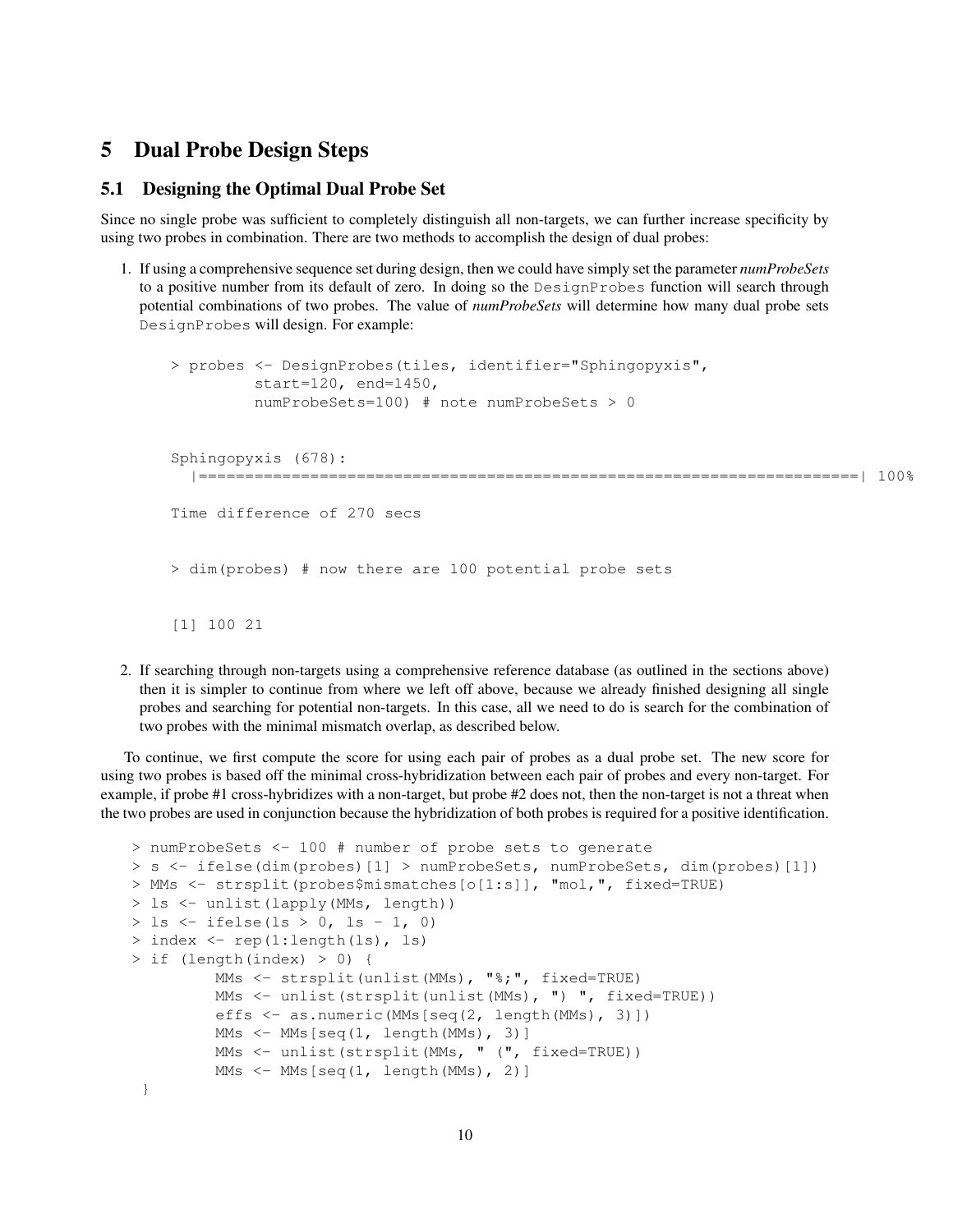### <span id="page-9-0"></span>5 Dual Probe Design Steps

### <span id="page-9-1"></span>5.1 Designing the Optimal Dual Probe Set

Since no single probe was sufficient to completely distinguish all non-targets, we can further increase specificity by using two probes in combination. There are two methods to accomplish the design of dual probes:

1. If using a comprehensive sequence set during design, then we could have simply set the parameter *numProbeSets* to a positive number from its default of zero. In doing so the DesignProbes function will search through potential combinations of two probes. The value of *numProbeSets* will determine how many dual probe sets DesignProbes will design. For example:

```
> probes <- DesignProbes(tiles, identifier="Sphingopyxis",
         start=120, end=1450,
         numProbeSets=100) # note numProbeSets > 0
Sphingopyxis (678):
  |=======================================================================| 100%
Time difference of 270 secs
> dim(probes) # now there are 100 potential probe sets
[1] 100 21
```
2. If searching through non-targets using a comprehensive reference database (as outlined in the sections above) then it is simpler to continue from where we left off above, because we already finished designing all single probes and searching for potential non-targets. In this case, all we need to do is search for the combination of two probes with the minimal mismatch overlap, as described below.

To continue, we first compute the score for using each pair of probes as a dual probe set. The new score for using two probes is based off the minimal cross-hybridization between each pair of probes and every non-target. For example, if probe #1 cross-hybridizes with a non-target, but probe #2 does not, then the non-target is not a threat when the two probes are used in conjunction because the hybridization of both probes is required for a positive identification.

```
> numProbeSets <- 100 # number of probe sets to generate
> s <- ifelse(dim(probes)[1] > numProbeSets, numProbeSets, dim(probes)[1])
> MMs <- strsplit(probes$mismatches[o[1:s]], "mol,", fixed=TRUE)
> ls <- unlist(lapply(MMs, length))
> ls <- ifelse(ls > 0, ls - 1, 0)
> index <- rep(1:length(ls), ls)
> if (length(index) > 0) {
         MMs <- strsplit(unlist(MMs), "%;", fixed=TRUE)
         MMs <- unlist(strsplit(unlist(MMs), ") ", fixed=TRUE))
         effs <- as.numeric(MMs[seq(2, length(MMs), 3)])
         MMs <- MMs[seq(1, length(MMs), 3)]
         MMs <- unlist(strsplit(MMs, " (", fixed=TRUE))
         MMs <- MMs[seq(1, length(MMs), 2)]
 }
```

```
10
```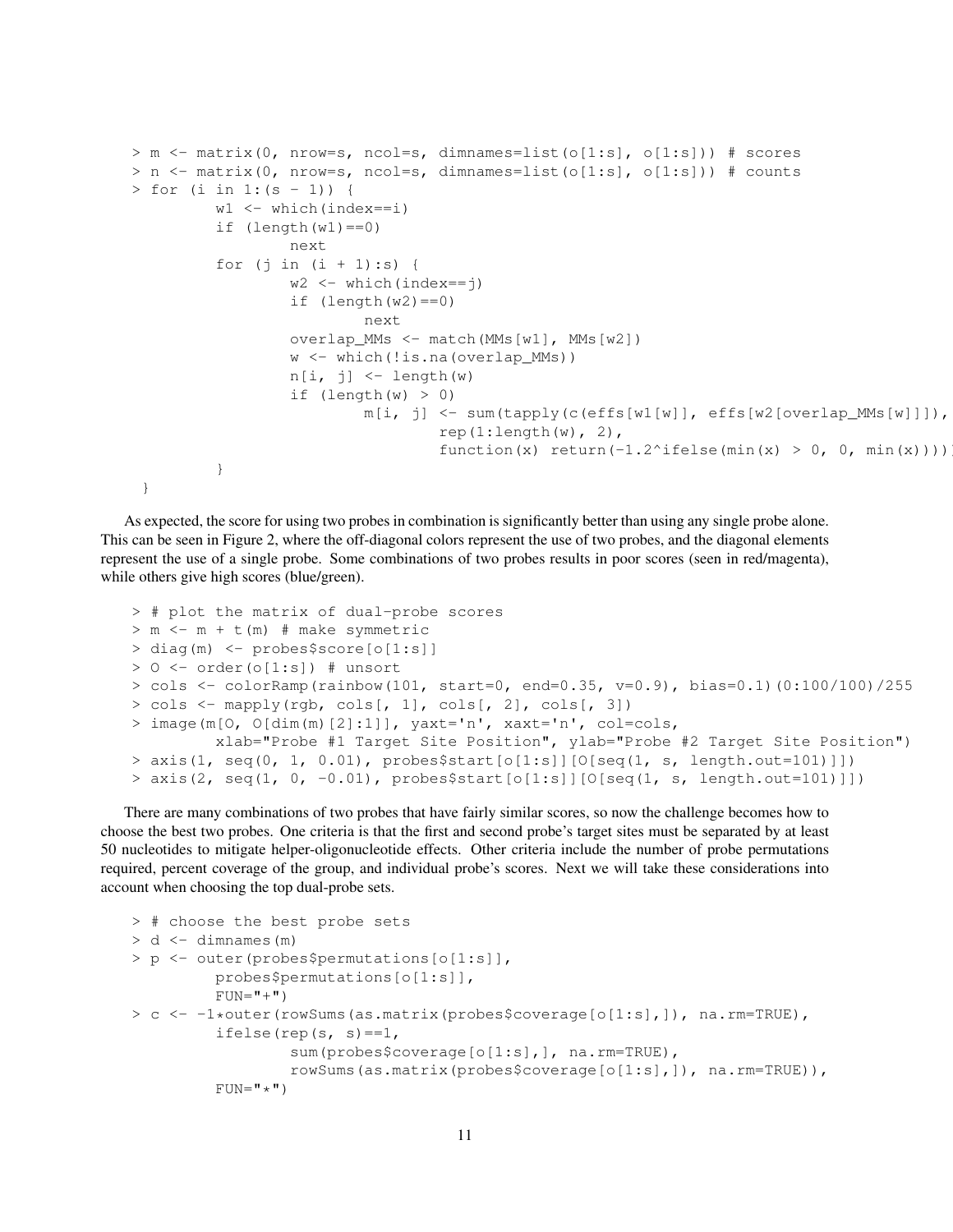```
> m <- matrix(0, nrow=s, ncol=s, dimnames=list(o[1:s], o[1:s])) # scores
> n <- matrix(0, nrow=s, ncol=s, dimnames=list(o[1:s], o[1:s])) # counts
> for (i in 1:(s - 1)) {
         w1 \leftarrow \text{which}(\text{index}==i)if (length(w1) == 0)next
          for (j in (i + 1):s) {
                  w2 <- which(index==j)
                  if (lenqth(w2) == 0)next
                  overlap_MMs <- match(MMs[w1], MMs[w2])
                  w <- which(!is.na(overlap_MMs))
                  n[i, j] <- length (w)if (lenqth(w) > 0)m[i, j] \le - \text{sum(tapply(c(effs[w1[w]], effs[w2[overlap_MMs[w]]]),rep(1:length(w), 2),function(x) return(-1.2^ifelse(min(x) > 0, 0, min(x))))
          }
 }
```
As expected, the score for using two probes in combination is significantly better than using any single probe alone. This can be seen in Figure 2, where the off-diagonal colors represent the use of two probes, and the diagonal elements represent the use of a single probe. Some combinations of two probes results in poor scores (seen in red/magenta), while others give high scores (blue/green).

```
> # plot the matrix of dual-probe scores
> m <- m + t(m) # make symmetric
> diag(m) <- probes$score[o[1:s]]
> 0 \le - order(o[1:s]) # unsort
> cols <- colorRamp(rainbow(101, start=0, end=0.35, v=0.9), bias=0.1)(0:100/100)/255
> cols \leq mapply(rgb, cols[, 1], cols[, 2], cols[, 3])
> image(m[O, O[dim(m)[2]:1]], yaxt='n', xaxt='n', col=cols,
         xlab="Probe #1 Target Site Position", ylab="Probe #2 Target Site Position")
> axis(1, seq(0, 1, 0.01), probes$start[o[1:s]][O[seq(1, s, length.out=101)]])
> axis(2, seq(1, 0, -0.01), probes$start[o[1:s]][O[seq(1, s, length.out=101)]])
```
There are many combinations of two probes that have fairly similar scores, so now the challenge becomes how to choose the best two probes. One criteria is that the first and second probe's target sites must be separated by at least 50 nucleotides to mitigate helper-oligonucleotide effects. Other criteria include the number of probe permutations required, percent coverage of the group, and individual probe's scores. Next we will take these considerations into account when choosing the top dual-probe sets.

```
> # choose the best probe sets
> d < - dimnames (m)
> p <- outer(probes$permutations[o[1:s]],
         probes$permutations[o[1:s]],
         FUN = " + " )> c <- -1*outer(rowSums(as.matrix(probes$coverage[o[1:s],]), na.rm=TRUE),
         ifelse(rep(s, s) ==1,
                  sum(probes$coverage[o[1:s],], na.rm=TRUE),
                  rowSums(as.matrix(probes$coverage[o[1:s],]), na.rm=TRUE)),
         FUN = " * "')
```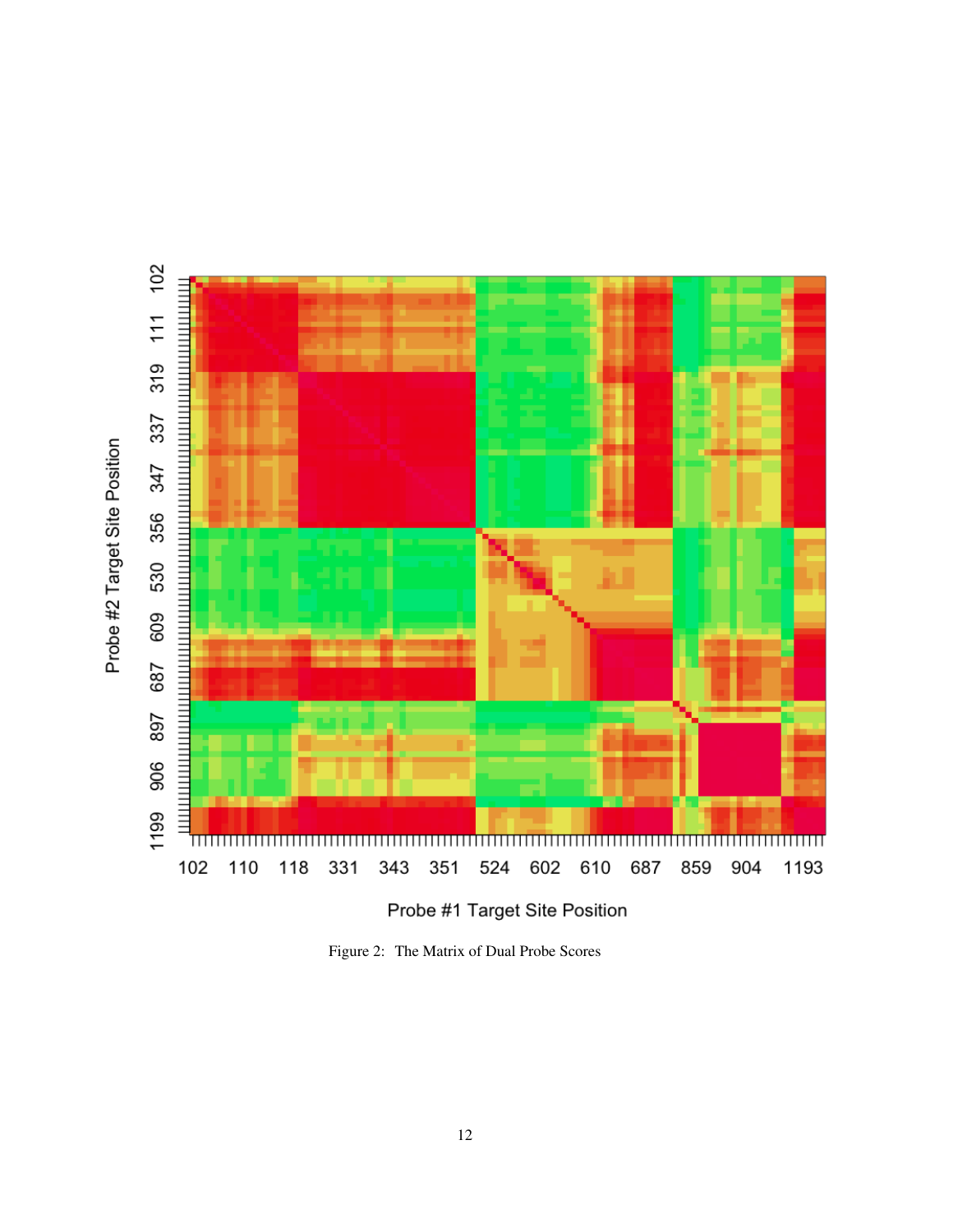Probe #2 Target Site Position



Probe #1 Target Site Position

Figure 2: The Matrix of Dual Probe Scores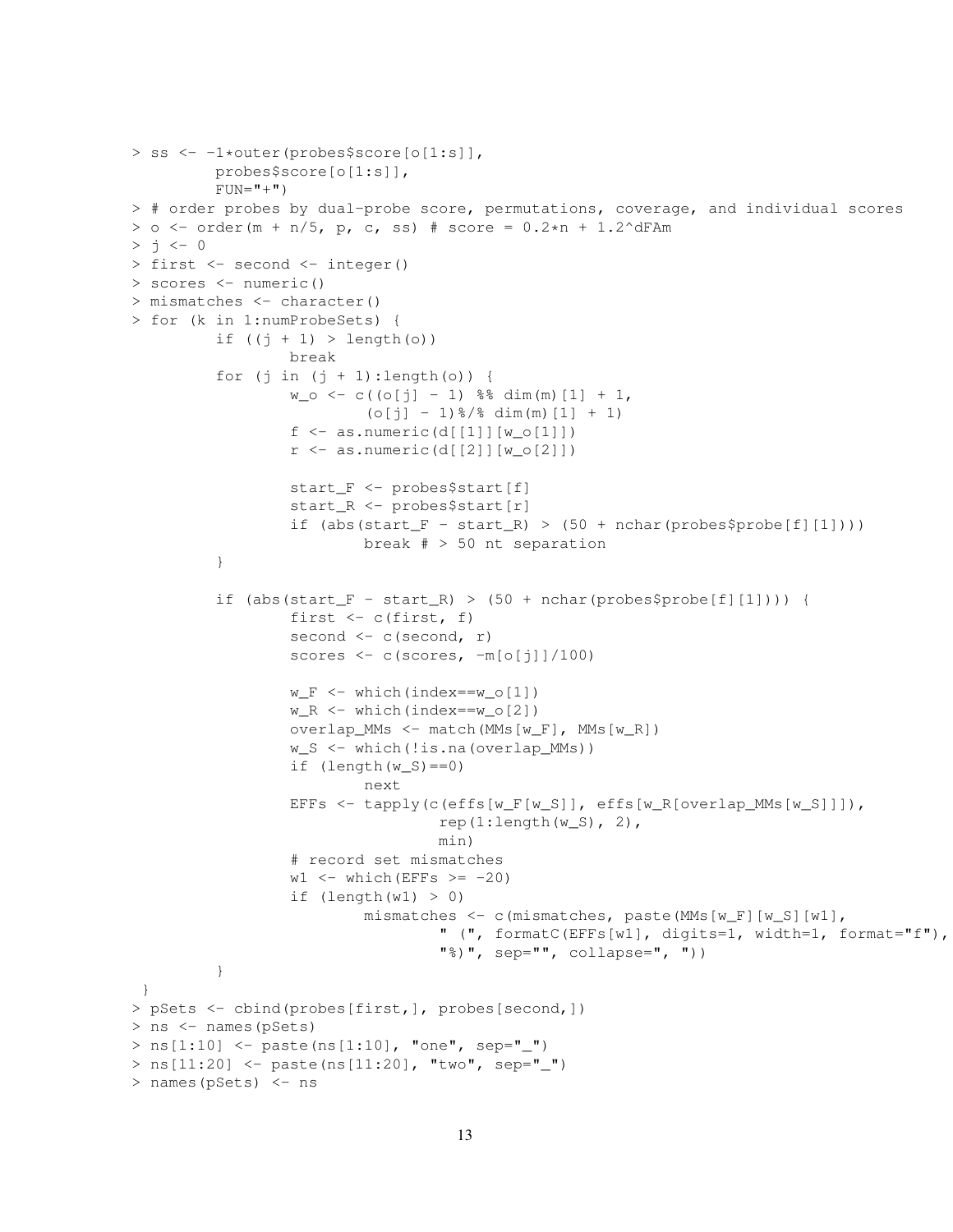```
> ss <- -1*outer(probes$score[o[1:s]],
         probes$score[o[1:s]],
         FUN = " + " )> # order probes by dual-probe score, permutations, coverage, and individual scores
> o \leq order(m + n/5, p, c, ss) # score = 0.2*n + 1.2^dFAm> j < - 0> first <- second <- integer()
> scores <- numeric()
> mismatches <- character()
> for (k in 1:numProbeSets) {
         if ((j + 1) > length(o))break
          for (j in (j + 1): length(o)) {
                  w_0 \leq c ( (o[j] - 1) 88 \dim(m) [1] + 1,(o[j] - 1) %/% dim(m) [1] + 1)
                  f \leftarrow as.numeric(d[[1]][w_0[1]])r <- as.numeric(d[[2]][w_o[2]])
                  start_F <- probes$start[f]
                  start_R <- probes$start[r]
                  if (abs(start_F - start_R) > (50 + nchar(probes$probe[f][1])))
                           break # > 50 nt separation
          }
          if (abs(start_F - start_R) > (50 + \text{nchar}(\text{probes}\,$probe[f][1]))) {
                  first \leftarrow c(first, f)
                  second \leq c(second, r)
                  scores \leq c(scores, -m[o[j]]/100)
                  w_F \leftarrow \text{which}(\text{index}==w_0[1])w_R \leftarrow \text{which}(\text{index}==w_0[2])overlap_MMs <- match(MMs[w_F], MMs[w_R])
                  w_S <- which(!is.na(overlap_MMs))
                  if (length(w_S) == 0)next
                  EFFs <- tapply(c(effs[w_F[w_S]], effs[w_R[overlap_MMs[w_S]]]),
                                    rep(1:length(w_S), 2),min)
                  # record set mismatches
                  w1 \leftarrow \text{which}(\text{EFFs} \geq -20)if (length(w1) > 0)mismatches <- c(mismatches, paste(MMs[w_F][w_S][w1],
                                    " (", formatC(EFFs[w1], digits=1, width=1, format="f"),
                                    "%)", sep="", collapse=", "))
          }
}
> pSets <- cbind(probes[first,], probes[second,])
> ns <- names(pSets)
> ns[1:10] <- paste(ns[1:10], "one", sep="_")
> ns[11:20] <- paste(ns[11:20], "two", sep="_")
> names(pSets) <- ns
```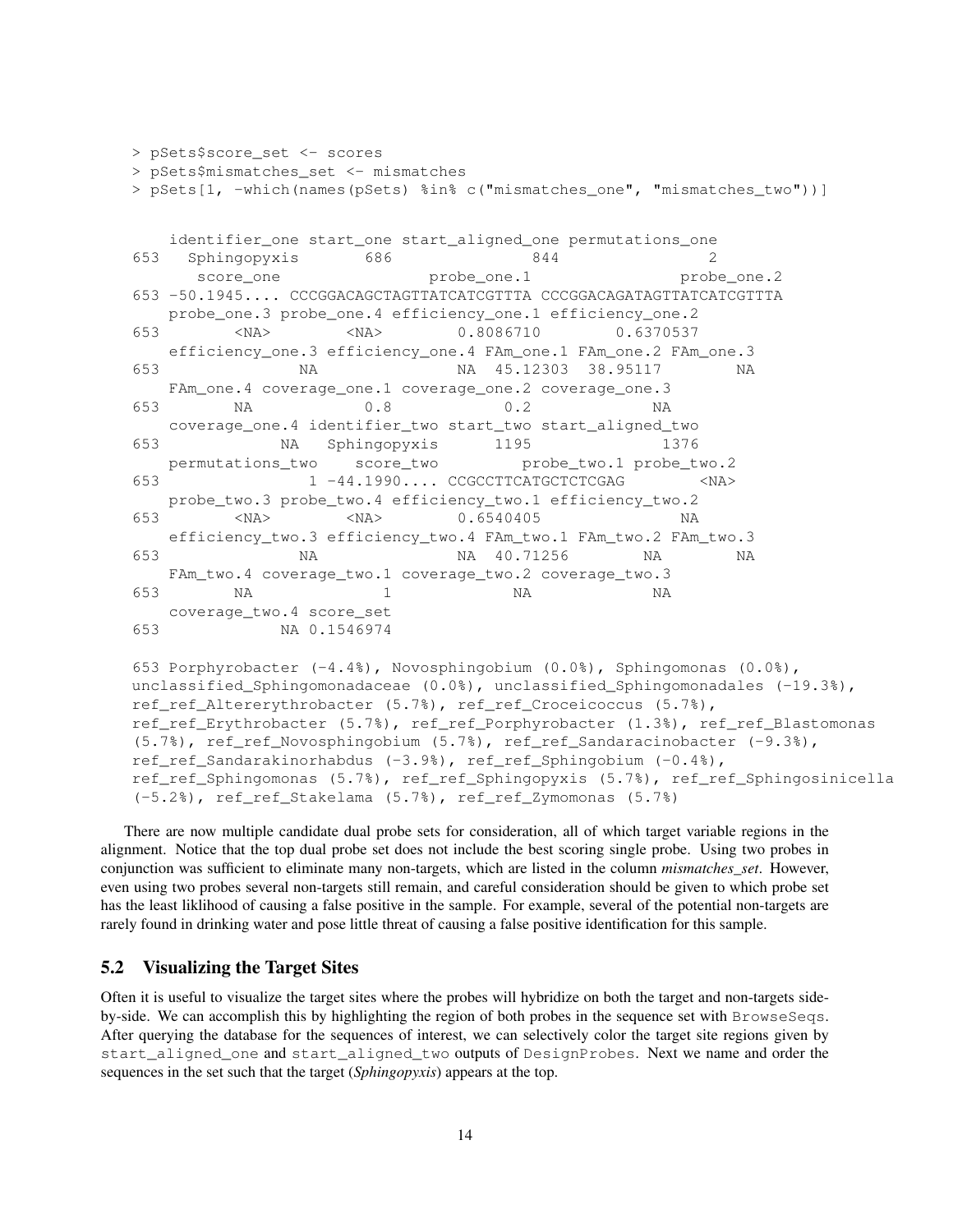```
> pSets$score_set <- scores
> pSets$mismatches_set <- mismatches
> pSets[1, -which(names(pSets) %in% c("mismatches_one", "mismatches_two"))]
   identifier_one start_one start_aligned_one permutations_one
653 Sphingopyxis 686 844 2
     score_one probe_one.1 probe_one.2
653 -50.1945.... CCCGGACAGCTAGTTATCATCGTTTA CCCGGACAGATAGTTATCATCGTTTA
   probe_one.3 probe_one.4 efficiency_one.1 efficiency_one.2
653 <NA> <NA> 0.8086710 0.6370537
   efficiency_one.3 efficiency_one.4 FAm_one.1 FAm_one.2 FAm_one.3
653 NA NA 45.12303 38.95117 NA
   FAm_one.4 coverage_one.1 coverage_one.2 coverage_one.3
653 NA 0.8 0.2 NA
   coverage_one.4 identifier_two start_two start_aligned_two
653 NA Sphingopyxis 1195 1376
   permutations_two score_two probe_two.1 probe_two.2
653 1 -44.1990.... CCGCCTTCATGCTCTCGAG <NA>
   probe two.3 probe_two.4 efficiency_two.1 efficiency_two.2
653 <NA> <NA> 0.6540405 NA
   efficiency_two.3 efficiency_two.4 FAm_two.1 FAm_two.2 FAm_two.3
653 NA NA 40.71256 NA NA
   FAm_two.4 coverage_two.1 coverage_two.2 coverage_two.3
653 NA 1 NA NA
   coverage_two.4 score_set
653 NA 0.1546974
653 Porphyrobacter (-4.4%), Novosphingobium (0.0%), Sphingomonas (0.0%),
unclassified_Sphingomonadaceae (0.0%), unclassified_Sphingomonadales (-19.3%),
ref_ref_Altererythrobacter (5.7%), ref_ref_Croceicoccus (5.7%),
ref_ref_Erythrobacter (5.7%), ref_ref_Porphyrobacter (1.3%), ref_ref_Blastomonas
(5.7%), ref_ref_Novosphingobium (5.7%), ref_ref_Sandaracinobacter (-9.3%),
ref_ref_Sandarakinorhabdus (-3.9%), ref_ref_Sphingobium (-0.4%),
ref_ref_Sphingomonas (5.7%), ref_ref_Sphingopyxis (5.7%), ref_ref_Sphingosinicella
(-5.2%), ref_ref_Stakelama (5.7%), ref_ref_Zymomonas (5.7%)
```
There are now multiple candidate dual probe sets for consideration, all of which target variable regions in the alignment. Notice that the top dual probe set does not include the best scoring single probe. Using two probes in conjunction was sufficient to eliminate many non-targets, which are listed in the column *mismatches\_set*. However, even using two probes several non-targets still remain, and careful consideration should be given to which probe set has the least liklihood of causing a false positive in the sample. For example, several of the potential non-targets are rarely found in drinking water and pose little threat of causing a false positive identification for this sample.

#### <span id="page-13-0"></span>5.2 Visualizing the Target Sites

Often it is useful to visualize the target sites where the probes will hybridize on both the target and non-targets sideby-side. We can accomplish this by highlighting the region of both probes in the sequence set with BrowseSeqs. After querying the database for the sequences of interest, we can selectively color the target site regions given by start\_aligned\_one and start\_aligned\_two outputs of DesignProbes. Next we name and order the sequences in the set such that the target (*Sphingopyxis*) appears at the top.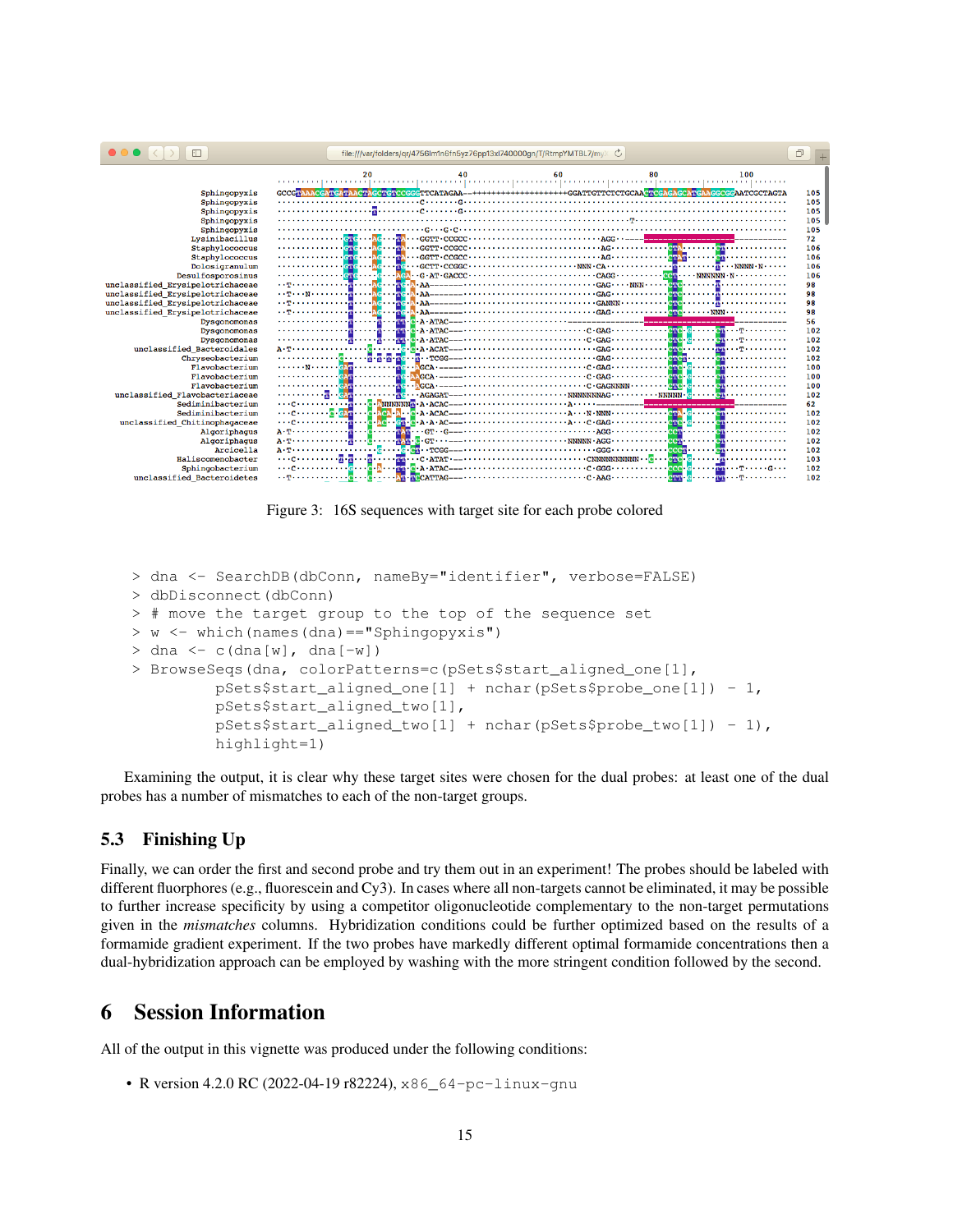

Figure 3: 16S sequences with target site for each probe colored

```
> dna <- SearchDB(dbConn, nameBy="identifier", verbose=FALSE)
> dbDisconnect(dbConn)
> # move the target group to the top of the sequence set
> w <- which(names(dna)=="Sphingopyxis")
> dna <- c(dna[w], dna[-w])
> BrowseSeqs(dna, colorPatterns=c(pSets$start_aligned_one[1],
         pSets$start_aligned_one[1] + nchar(pSets$probe_one[1]) - 1,
         pSets$start_aligned_two[1],
         pSets$start_aligned_two[1] + nchar(pSets$probe_two[1]) - 1),
         highlight=1)
```
Examining the output, it is clear why these target sites were chosen for the dual probes: at least one of the dual probes has a number of mismatches to each of the non-target groups.

### <span id="page-14-0"></span>5.3 Finishing Up

Finally, we can order the first and second probe and try them out in an experiment! The probes should be labeled with different fluorphores (e.g., fluorescein and Cy3). In cases where all non-targets cannot be eliminated, it may be possible to further increase specificity by using a competitor oligonucleotide complementary to the non-target permutations given in the *mismatches* columns. Hybridization conditions could be further optimized based on the results of a formamide gradient experiment. If the two probes have markedly different optimal formamide concentrations then a dual-hybridization approach can be employed by washing with the more stringent condition followed by the second.

### <span id="page-14-1"></span>6 Session Information

All of the output in this vignette was produced under the following conditions:

• R version 4.2.0 RC (2022-04-19 r82224), x86\_64-pc-linux-gnu